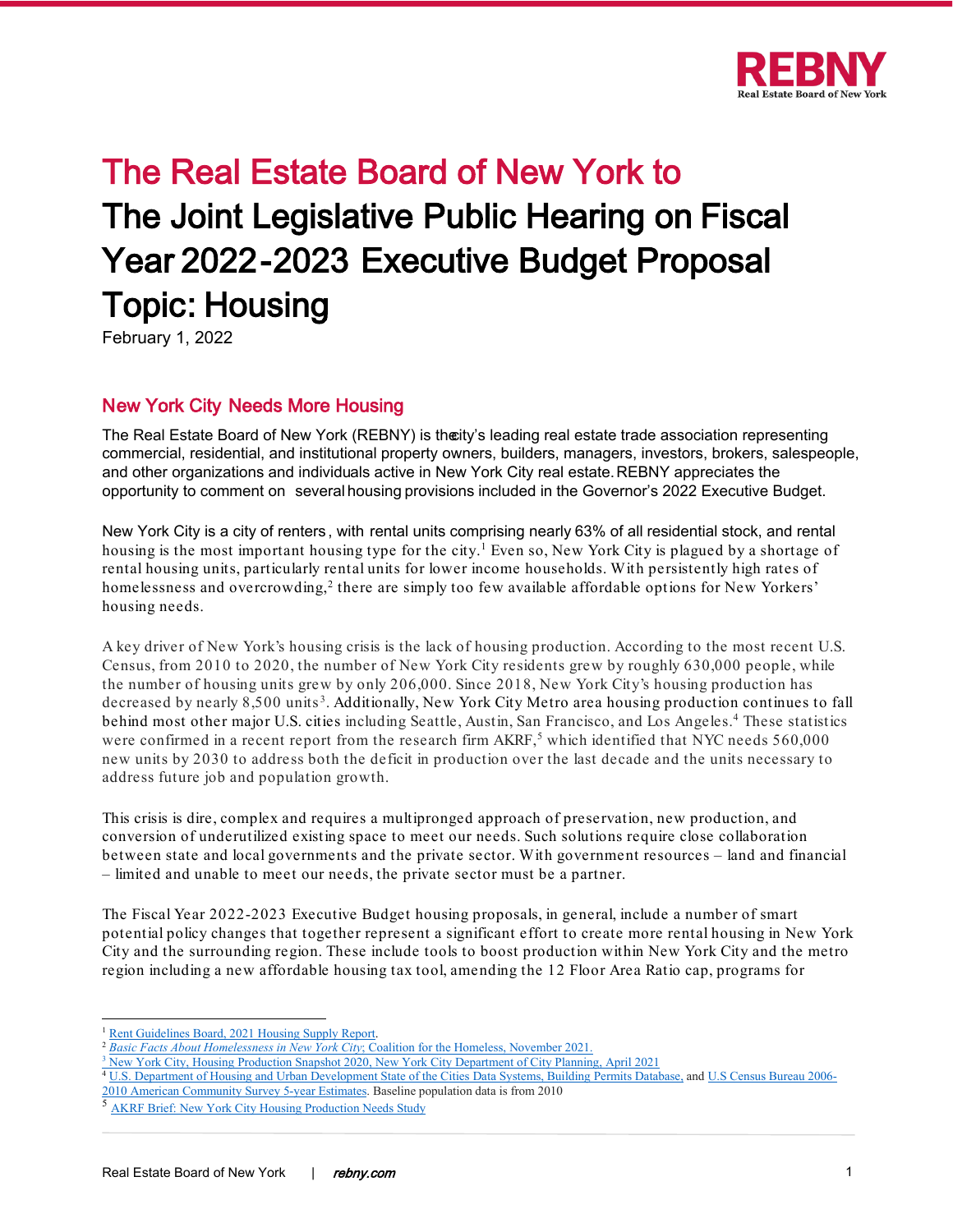

# The Real Estate Board of New York to The Joint Legislative Public Hearing on Fiscal Year 2022-2023 Executive Budget Proposal Topic: Housing

February 1, 2022

# New York City Needs More Housing

The Real Estate Board of New York (REBNY) is the ity's leading real estate trade association representing commercial, residential, and institutional property owners, builders, managers, investors, brokers, salespeople, and other organizations and individuals active in New York City real estate. REBNY appreciates the opportunity to comment on several housing provisions included in the Governor's 2022 Executive Budget.

New York City is a city of renters , with rental units comprising nearly 63% of all residential stock, and rental housing is the most important housing type for the city. [1](#page-0-0) Even so, New York City is plagued by a shortage of rental housing units, particularly rental units for lower income households. With persistently high rates of homelessness and overcrowding,<sup>[2](#page-0-1)</sup> there are simply too few available affordable options for New Yorkers' housing needs.

A key driver of New York's housing crisis is the lack of housing production. According to the most recent U.S. Census, from 2010 to 2020, the number of New York City residents grew by roughly 630,000 people, while the number of housing units grew by only 206,000. Since 2018, New York City's housing production has decreased by nearly 8,500 units [3](#page-0-2). Additionally, New York City Metro area housing production continues to fall behind most other major U.S. cities including Seattle, Austin, San Francisco, and Los Angeles. [4](#page-0-3) These statistics were confirmed in a recent report from the research firm AKRF, [5](#page-0-4) which identified that NYC needs 560,000 new units by 2030 to address both the deficit in production over the last decade and the units necessary to address future job and population growth.

This crisis is dire, complex and requires a multipronged approach of preservation, new production, and conversion of underutilized existing space to meet our needs. Such solutions require close collaboration between state and local governments and the private sector. With government resources – land and financial – limited and unable to meet our needs, the private sector must be a partner.

The Fiscal Year 2022-2023 Executive Budget housing proposals, in general, include a number of smart potential policy changes that together represent a significant effort to create more rental housing in New York City and the surrounding region. These include tools to boost production within New York City and the metro region including a new affordable housing tax tool, amending the 12 Floor Area Ratio cap, programs for

<span id="page-0-0"></span>

<sup>1</sup> [Rent Guidelines Board, 2021 Housing Supply Report.](https://rentguidelinesboard.cityofnewyork.us/wp-content/uploads/2021/10/2021-Housing-NYC-Book.pdf) 2 *[Basic Facts About Homelessness in New York City](https://www.coalitionforthehomeless.org/wp-content/uploads/2021/11/NYC_Homelessness_Fact_Sheet_9-2021_citations.pdf)*; Coalition for the Homeless, November 2021.

<span id="page-0-3"></span><span id="page-0-2"></span><span id="page-0-1"></span><sup>&</sup>lt;sup>3</sup> [New York City, Housing Production Snapshot 2020, New York City Department of City Planning, April 2021](https://storymaps.arcgis.com/stories/1c9138dc24064b2e8142ff156345a719)

<sup>4</sup> [U.S. Department of Housing and Urban Development State of the Cities Data Systems, Building Permits Database,](https://www.huduser.gov/portal/datasets/socds.html) an[d U.S Census Bureau 2006-](https://www.census.gov/programs-surveys/acs/technical-documentation/table-and-geography-changes/2010/5-year.html) [2010 American Community Survey 5-year Estimates.](https://www.census.gov/programs-surveys/acs/technical-documentation/table-and-geography-changes/2010/5-year.html) Baseline population data is from 2010

<span id="page-0-4"></span><sup>5</sup> AKRF Brief: New York City [Housing Production Needs Study](https://www.rebny.com/content/dam/rebny/Documents/PDF/Resources/AKRF%20REBNY%20NYC%20Housing%20Production%20Needs%20Study.pdf?j=912166&sfmc_sub=312382585&l=122_HTML&u=20038194&mid=100004597&jb=2008&j=914260&sfmc_sub=97803631&l=122_HTML&u=20075621&mid=100004597&jb=3)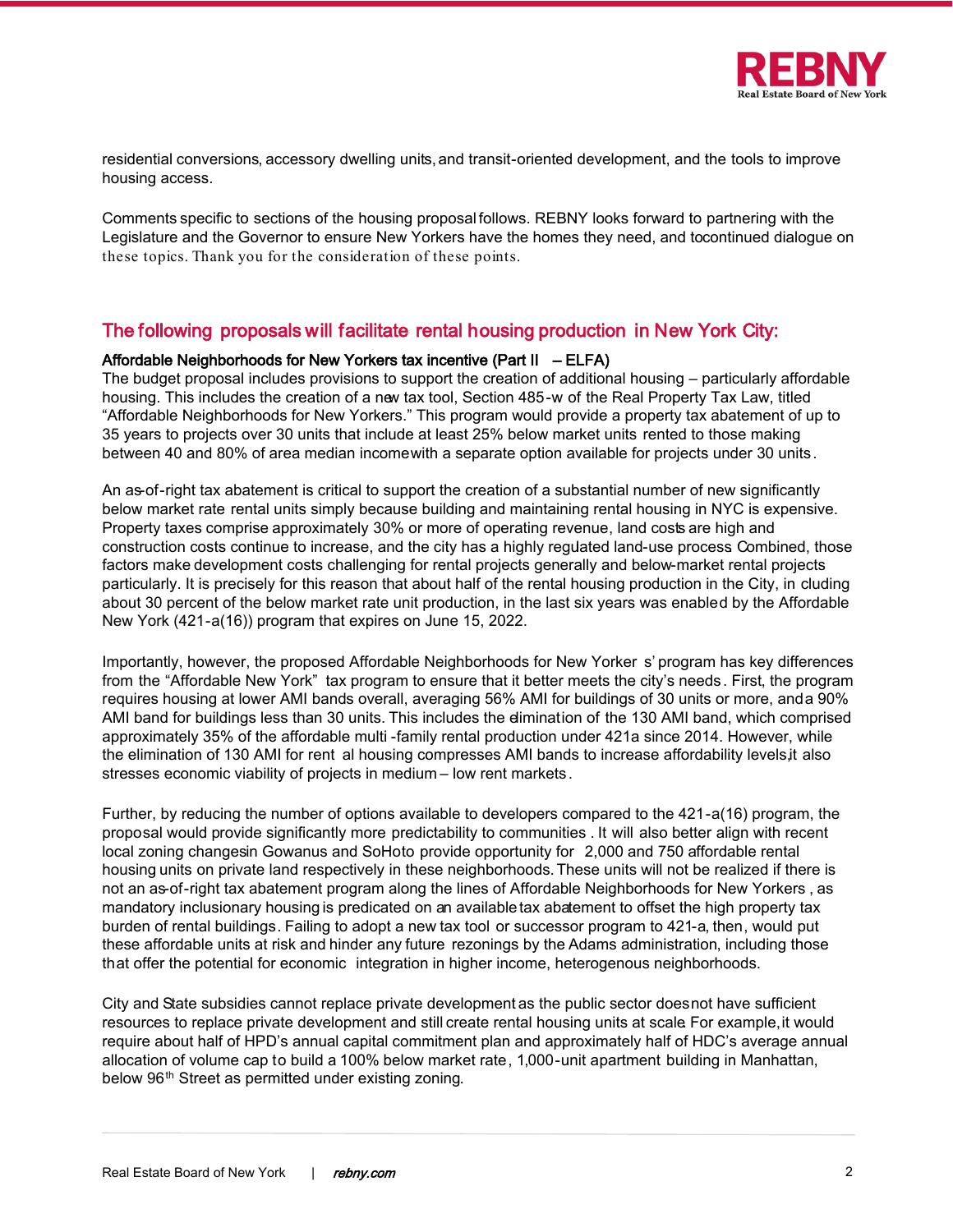

residential conversions, accessory dwelling units,and transit-oriented development, and the tools to improve housing access.

Comments specific to sections of the housing proposal follows. REBNY looks forward to partnering with the Legislature and the Governor to ensure New Yorkers have the homes they need, and tocontinued dialogue on these topics. Thank you for the consideration of these points.

## The following proposals will facilitate rental housing production in New York City:

#### Affordable Neighborhoods for New Yorkers tax incentive (Part II – ELFA)

The budget proposal includes provisions to support the creation of additional housing – particularly affordable housing. This includes the creation of a new tax tool, Section 485-w of the Real Property Tax Law, titled "Affordable Neighborhoods for New Yorkers." This program would provide a property tax abatement of up to 35 years to projects over 30 units that include at least 25% below market units rented to those making between 40 and 80% of area median incomewith a separate option available for projects under 30 units.

An as-of-right tax abatement is critical to support the creation of a substantial number of new significantly below market rate rental units simply because building and maintaining rental housing in NYC is expensive. Property taxes comprise approximately 30% or more of operating revenue, land costs are high and construction costs continue to increase, and the city has a highly regulated land-use process Combined, those factors make development costs challenging for rental projects generally and below-market rental projects particularly. It is precisely for this reason that about half of the rental housing production in the City, in cluding about 30 percent of the below market rate unit production, in the last six years was enabled by the Affordable New York (421-a(16)) program that expires on June 15, 2022.

Importantly, however, the proposed Affordable Neighborhoods for New Yorker s' program has key differences from the "Affordable New York" tax program to ensure that it better meets the city's needs . First, the program requires housing at lower AMI bands overall, averaging 56% AMI for buildings of 30 units or more, and a 90% AMI band for buildings less than 30 units. This includes the elimination of the 130 AMI band, which comprised approximately 35% of the affordable multi -family rental production under 421a since 2014. However, while the elimination of 130 AMI for rent al housing compresses AMI bands to increase affordability levels, it also stresses economic viability of projects in medium – low rent markets.

Further, by reducing the number of options available to developers compared to the 421-a(16) program, the proposal would provide significantly more predictability to communities . It will also better align with recent local zoning changesin Gowanus and SoHoto provide opportunity for 2,000 and 750 affordable rental housing units on private land respectively in these neighborhoods. These units will not be realized if there is not an as-of-right tax abatement program along the lines of Affordable Neighborhoods for New Yorkers , as mandatory inclusionary housing is predicated on an available tax abatement to offset the high property tax burden of rental buildings. Failing to adopt a new tax tool or successor program to 421-a, then, would put these affordable units at risk and hinder any future rezonings by the Adams administration, including those that offer the potential for economic integration in higher income, heterogenous neighborhoods.

City and State subsidies cannot replace private development as the public sector does not have sufficient resources to replace private development and still create rental housing units at scale. For example, it would require about half of HPD's annual capital commitment plan and approximately half of HDC's average annual allocation of volume cap to build a 100% below market rate, 1,000-unit apartment building in Manhattan, below 96<sup>th</sup> Street as permitted under existing zoning.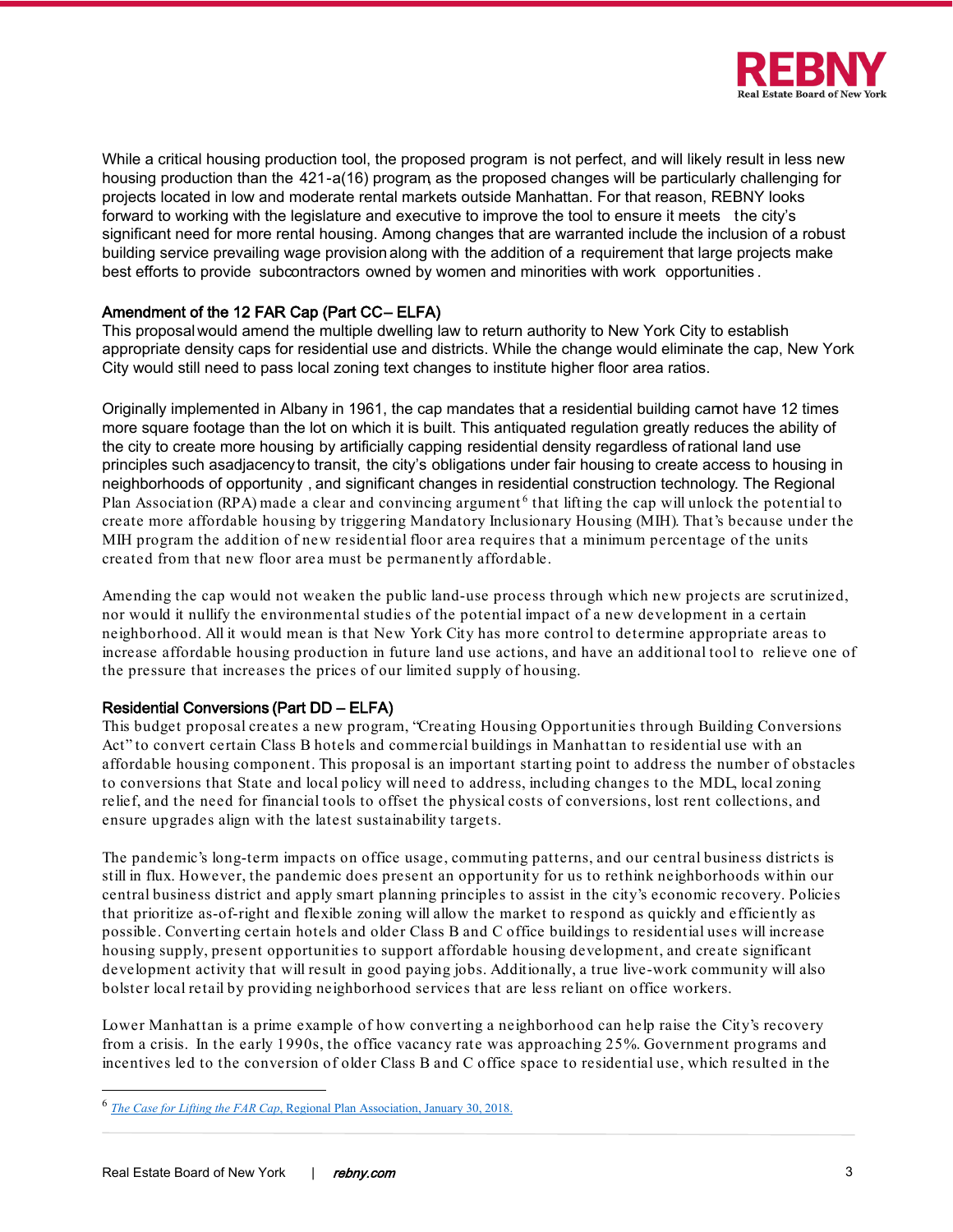

While a critical housing production tool, the proposed program is not perfect, and will likely result in less new housing production than the 421-a(16) program, as the proposed changes will be particularly challenging for projects located in low and moderate rental markets outside Manhattan. For that reason, REBNY looks forward to working with the legislature and executive to improve the tool to ensure it meets the city's significant need for more rental housing. Among changes that are warranted include the inclusion of a robust building service prevailing wage provision along with the addition of a requirement that large projects make best efforts to provide subcontractors owned by women and minorities with work opportunities.

## Amendment of the 12 FAR Cap (Part CC-ELFA)

This proposalwould amend the multiple dwelling law to return authority to New York City to establish appropriate density caps for residential use and districts. While the change would eliminate the cap, New York City would still need to pass local zoning text changes to institute higher floor area ratios.

Originally implemented in Albany in 1961, the cap mandates that a residential building cannot have 12 times more square footage than the lot on which it is built. This antiquated regulation greatly reduces the ability of the city to create more housing by artificially capping residential density regardless of rational land use principles such asadjacency to transit, the city's obligations under fair housing to create access to housing in neighborhoods of opportunity , and significant changes in residential construction technology. The Regional Plan Association (RPA) made a clear and convincing argument<sup>[6](#page-2-0)</sup> that lifting the cap will unlock the potential to create more affordable housing by triggering Mandatory Inclusionary Housing (MIH). That's because under the MIH program the addition of new residential floor area requires that a minimum percentage of the units created from that new floor area must be permanently affordable.

Amending the cap would not weaken the public land-use process through which new projects are scrutinized, nor would it nullify the environmental studies of the potential impact of a new development in a certain neighborhood. All it would mean is that New York City has more control to determine appropriate areas to increase affordable housing production in future land use actions, and have an additional tool to relieve one of the pressure that increases the prices of our limited supply of housing.

### Residential Conversions (Part DD – ELFA)

This budget proposal creates a new program, "Creating Housing Opportunities through Building Conversions Act" to convert certain Class B hotels and commercial buildings in Manhattan to residential use with an affordable housing component. This proposal is an important starting point to address the number of obstacles to conversions that State and local policy will need to address, including changes to the MDL, local zoning relief, and the need for financial tools to offset the physical costs of conversions, lost rent collections, and ensure upgrades align with the latest sustainability targets.

The pandemic's long-term impacts on office usage, commuting patterns, and our central business districts is still in flux. However, the pandemic does present an opportunity for us to rethink neighborhoods within our central business district and apply smart planning principles to assist in the city's economic recovery. Policies that prioritize as-of-right and flexible zoning will allow the market to respond as quickly and efficiently as possible. Converting certain hotels and older Class B and C office buildings to residential uses will increase housing supply, present opportunities to support affordable housing development, and create significant development activity that will result in good paying jobs. Additionally, a true live-work community will also bolster local retail by providing neighborhood services that are less reliant on office workers.

Lower Manhattan is a prime example of how converting a neighborhood can help raise the City's recovery from a crisis. In the early 1990s, the office vacancy rate was approaching 25%. Government programs and incentives led to the conversion of older Class B and C office space to residential use, which resulted in the

<span id="page-2-0"></span><sup>6</sup> *The Case for Lifting the FAR Cap*[, Regional Plan Association, January 30, 2018.](https://rpa.org/latest/lab/case-lifting-far-cap)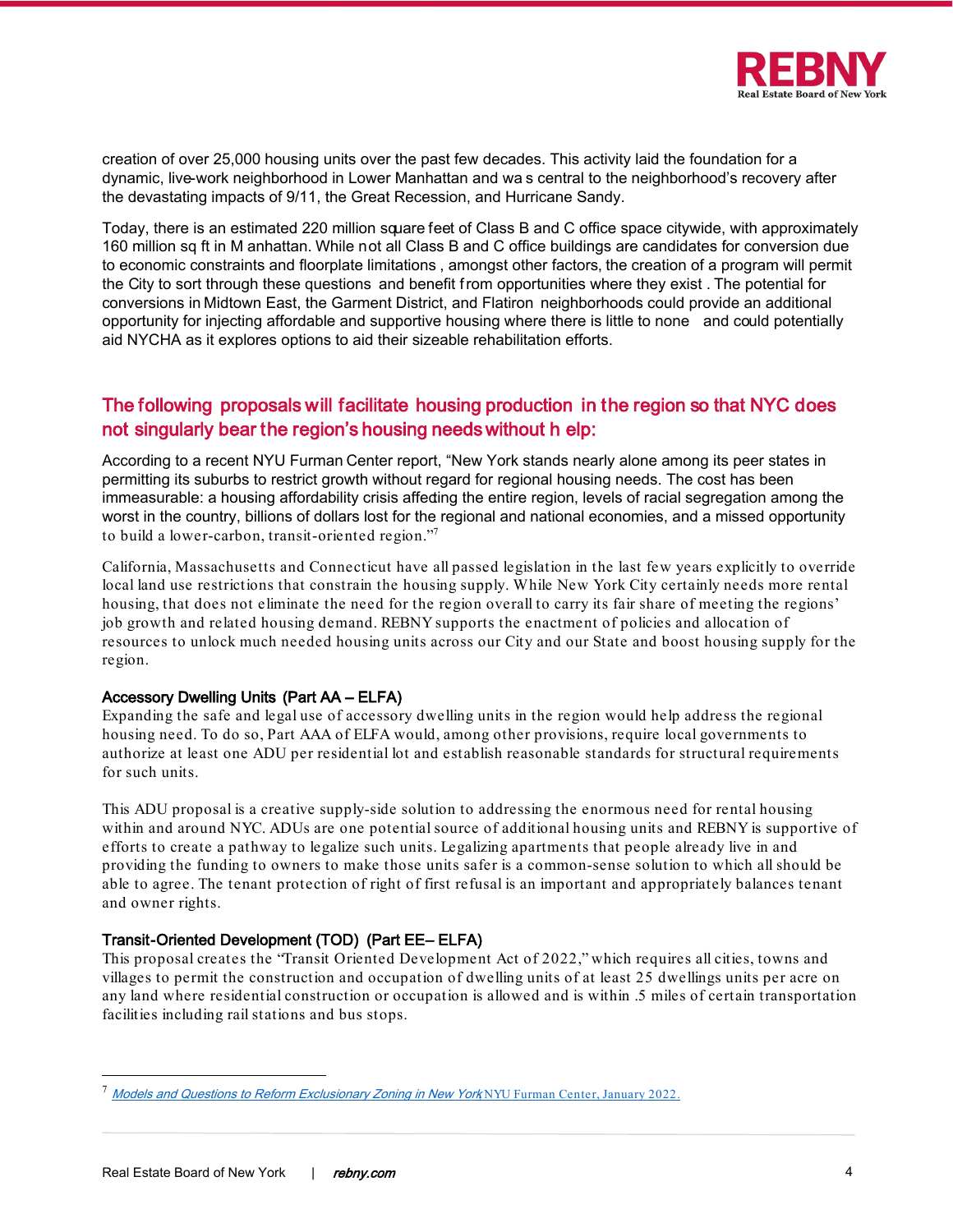

creation of over 25,000 housing units over the past few decades. This activity laid the foundation for a dynamic, live-work neighborhood in Lower Manhattan and wa s central to the neighborhood's recovery after the devastating impacts of 9/11, the Great Recession, and Hurricane Sandy.

Today, there is an estimated 220 million square feet of Class B and C office space citywide, with approximately 160 million sq ft in M anhattan. While not all Class B and C office buildings are candidates for conversion due to economic constraints and floorplate limitations , amongst other factors, the creation of a program will permit the City to sort through these questions and benefit from opportunities where they exist . The potential for conversions in Midtown East, the Garment District, and Flatiron neighborhoods could provide an additional opportunity for injecting affordable and supportive housing where there is little to none and could potentially aid NYCHA as it explores options to aid their sizeable rehabilitation efforts.

# The following proposals will facilitate housing production in the region so that NYC does not singularly bear the region's housing needs without h elp:

According to a recent NYU Furman Center report, "New York stands nearly alone among its peer states in permitting its suburbs to restrict growth without regard for regional housing needs. The cost has been immeasurable: a housing affordability crisis affecting the entire region, levels of racial segregation among the worst in the country, billions of dollars lost for the regional and national economies, and a missed opportunity to build a lower-carbon, transit-oriented region.["7](#page-3-0)

California, Massachusetts and Connecticut have all passed legislation in the last few years explicitly to override local land use restrictions that constrain the housing supply. While New York City certainly needs more rental housing, that does not eliminate the need for the region overall to carry its fair share of meeting the regions' job growth and related housing demand. REBNY supports the enactment of policies and allocation of resources to unlock much needed housing units across our City and our State and boost housing supply for the region.

### Accessory Dwelling Units (Part AA – ELFA)

Expanding the safe and legal use of accessory dwelling units in the region would help address the regional housing need. To do so, Part AAA of ELFA would, among other provisions, require local governments to authorize at least one ADU per residential lot and establish reasonable standards for structural requirements for such units.

This ADU proposal is a creative supply-side solution to addressing the enormous need for rental housing within and around NYC. ADUs are one potential source of additional housing units and REBNY is supportive of efforts to create a pathway to legalize such units. Legalizing apartments that people already live in and providing the funding to owners to make those units safer is a common-sense solution to which all should be able to agree. The tenant protection of right of first refusal is an important and appropriately balances tenant and owner rights.

## Transit-Oriented Development (TOD) (Part EE-ELFA)

This proposal creates the "Transit Oriented Development Act of 2022," which requires all cities, towns and villages to permit the construction and occupation of dwelling units of at least 25 dwellings units per acre on any land where residential construction or occupation is allowed and is within .5 miles of certain transportation facilities including rail stations and bus stops.

<span id="page-3-0"></span><sup>&</sup>lt;sup>7</sup> [Models and Questions to Reform Exclusionary Zoning in New York](https://furmancenter.org/files/publications/Models_and_Questions_to_Reform_Exclusionary_Zoning_in_New_York_Final.pdf) NYU Furman Center, January 2022.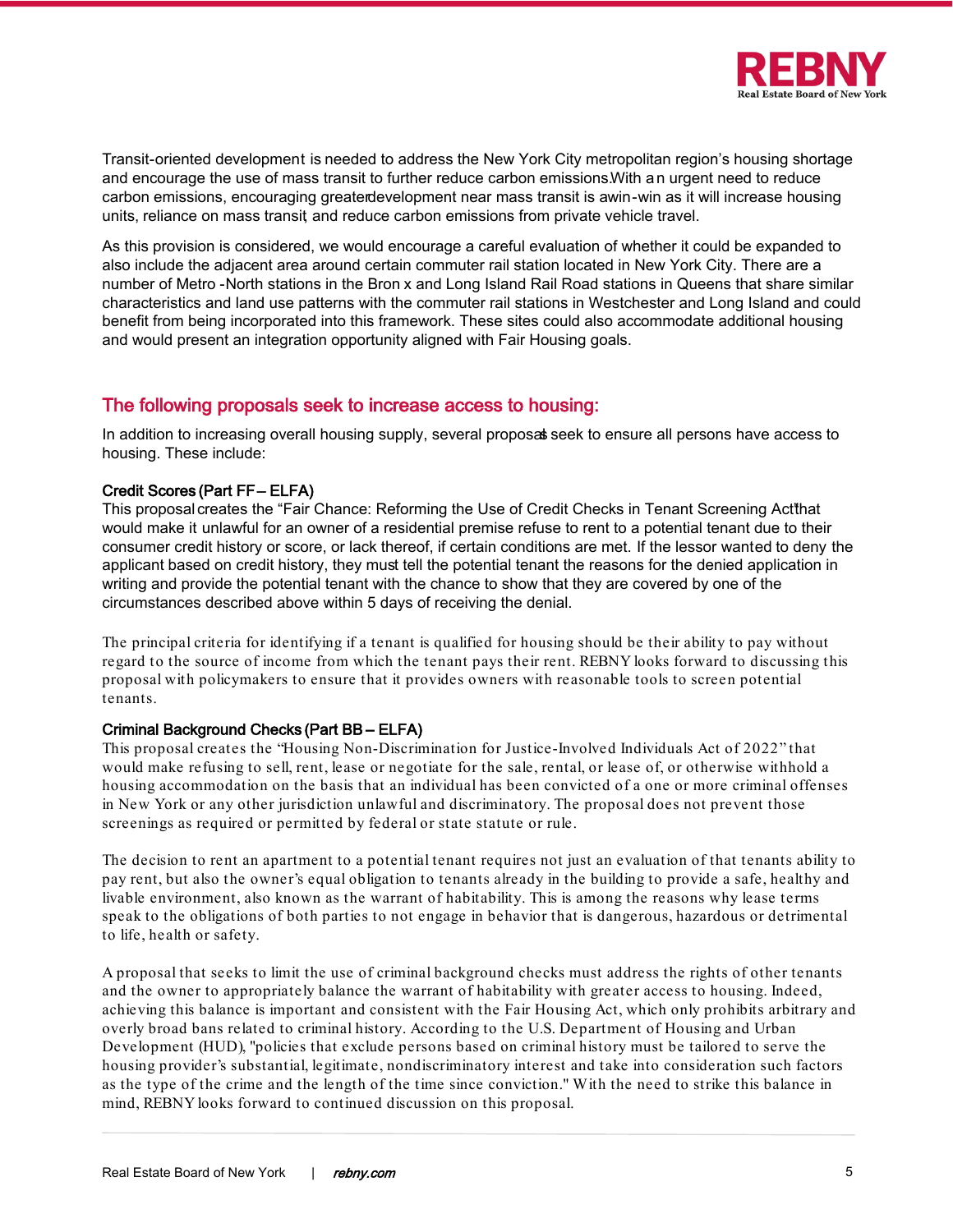

Transit-oriented development is needed to address the New York City metropolitan region's housing shortage and encourage the use of mass transit to further reduce carbon emissions.With an urgent need to reduce carbon emissions, encouraging greaterdevelopment near mass transit is awin-win as it will increase housing units, reliance on mass transit and reduce carbon emissions from private vehicle travel.

As this provision is considered, we would encourage a careful evaluation of whether it could be expanded to also include the adjacent area around certain commuter rail station located in New York City. There are a number of Metro -North stations in the Bron x and Long Island Rail Road stations in Queens that share similar characteristics and land use patterns with the commuter rail stations in Westchester and Long Island and could benefit from being incorporated into this framework. These sites could also accommodate additional housing and would present an integration opportunity aligned with Fair Housing goals.

## The following proposals seek to increase access to housing:

In addition to increasing overall housing supply, several proposal seek to ensure all persons have access to housing. These include:

#### Credit Scores (Part FF – ELFA)

This proposal creates the "Fair Chance: Reforming the Use of Credit Checks in Tenant Screening Actthat would make it unlawful for an owner of a residential premise refuse to rent to a potential tenant due to their consumer credit history or score, or lack thereof, if certain conditions are met. If the lessor wanted to deny the applicant based on credit history, they must tell the potential tenant the reasons for the denied application in writing and provide the potential tenant with the chance to show that they are covered by one of the circumstances described above within 5 days of receiving the denial.

The principal criteria for identifying if a tenant is qualified for housing should be their ability to pay without regard to the source of income from which the tenant pays their rent. REBNY looks forward to discussing this proposal with policymakers to ensure that it provides owners with reasonable tools to screen potential tenants.

#### Criminal Background Checks (Part BB – ELFA)

This proposal creates the "Housing Non-Discrimination for Justice-Involved Individuals Act of 2022" that would make refusing to sell, rent, lease or negotiate for the sale, rental, or lease of, or otherwise withhold a housing accommodation on the basis that an individual has been convicted of a one or more criminal offenses in New York or any other jurisdiction unlawful and discriminatory. The proposal does not prevent those screenings as required or permitted by federal or state statute or rule.

The decision to rent an apartment to a potential tenant requires not just an evaluation of that tenants ability to pay rent, but also the owner's equal obligation to tenants already in the building to provide a safe, healthy and livable environment, also known as the warrant of habitability. This is among the reasons why lease terms speak to the obligations of both parties to not engage in behavior that is dangerous, hazardous or detrimental to life, health or safety.

A proposal that seeks to limit the use of criminal background checks must address the rights of other tenants and the owner to appropriately balance the warrant of habitability with greater access to housing. Indeed, achieving this balance is important and consistent with the Fair Housing Act, which only prohibits arbitrary and overly broad bans related to criminal history. According to the U.S. Department of Housing and Urban Development (HUD), "policies that exclude persons based on criminal history must be tailored to serve the housing provider's substantial, legitimate, nondiscriminatory interest and take into consideration such factors as the type of the crime and the length of the time since conviction." With the need to strike this balance in mind, REBNY looks forward to continued discussion on this proposal.